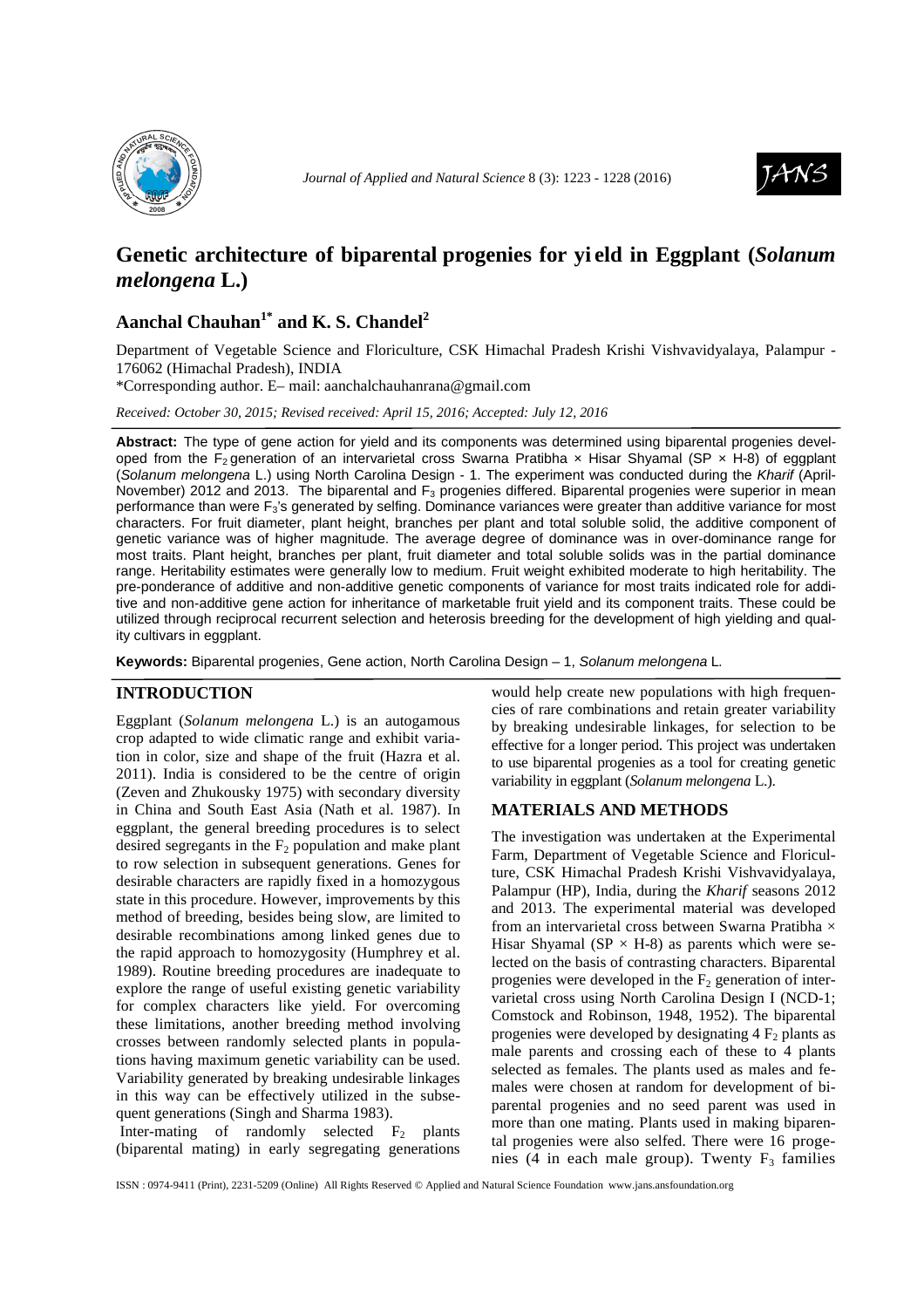



# **Genetic architecture of biparental progenies for yi eld in Eggplant (***Solanum melongena* **L.)**

## **Aanchal Chauhan1\* and K. S. Chandel<sup>2</sup>**

Department of Vegetable Science and Floriculture, CSK Himachal Pradesh Krishi Vishvavidyalaya, Palampur - 176062 (Himachal Pradesh), INDIA

\*Corresponding author. E– mail: aanchalchauhanrana@gmail.com

*Received: October 30, 2015; Revised received: April 15, 2016; Accepted: July 12, 2016*

**Abstract:** The type of gene action for yield and its components was determined using biparental progenies developed from the F<sub>2</sub> generation of an intervarietal cross Swarna Pratibha  $\times$  Hisar Shyamal (SP  $\times$  H-8) of eggplant (Solanum melongena L.) using North Carolina Design - 1. The experiment was conducted during the Kharif (April-November) 2012 and 2013. The biparental and F<sub>3</sub> progenies differed. Biparental progenies were superior in mean performance than were  $F_3$ 's generated by selfing. Dominance variances were greater than additive variance for most characters. For fruit diameter, plant height, branches per plant and total soluble solid, the additive component of genetic variance was of higher magnitude. The average degree of dominance was in over-dominance range for most traits. Plant height, branches per plant, fruit diameter and total soluble solids was in the partial dominance range. Heritability estimates were generally low to medium. Fruit weight exhibited moderate to high heritability. The pre-ponderance of additive and non-additive genetic components of variance for most traits indicated role for additive and non-additive gene action for inheritance of marketable fruit yield and its component traits. These could be utilized through reciprocal recurrent selection and heterosis breeding for the development of high yielding and quality cultivars in eggplant.

**Keywords:** Biparental progenies, Gene action, North Carolina Design – 1, Solanum melongena L.

## **INTRODUCTION**

Eggplant (*Solanum melongena* L.) is an autogamous crop adapted to wide climatic range and exhibit variation in color, size and shape of the fruit (Hazra et al. 2011). India is considered to be the centre of origin (Zeven and Zhukousky 1975) with secondary diversity in China and South East Asia (Nath et al. 1987). In eggplant, the general breeding procedures is to select desired segregants in the  $F<sub>2</sub>$  population and make plant to row selection in subsequent generations. Genes for desirable characters are rapidly fixed in a homozygous state in this procedure. However, improvements by this method of breeding, besides being slow, are limited to desirable recombinations among linked genes due to the rapid approach to homozygosity (Humphrey et al. 1989). Routine breeding procedures are inadequate to explore the range of useful existing genetic variability for complex characters like yield. For overcoming these limitations, another breeding method involving crosses between randomly selected plants in populations having maximum genetic variability can be used. Variability generated by breaking undesirable linkages in this way can be effectively utilized in the subsequent generations (Singh and Sharma 1983).

Inter-mating of randomly selected  $F_2$  plants (biparental mating) in early segregating generations would help create new populations with high frequencies of rare combinations and retain greater variability by breaking undesirable linkages, for selection to be effective for a longer period. This project was undertaken to use biparental progenies as a tool for creating genetic variability in eggplant (*Solanum melongena* L.).

#### **MATERIALS AND METHODS**

The investigation was undertaken at the Experimental Farm, Department of Vegetable Science and Floriculture, CSK Himachal Pradesh Krishi Vishvavidyalaya, Palampur (HP), India, during the *Kharif* seasons 2012 and 2013. The experimental material was developed from an intervarietal cross between Swarna Pratibha × Hisar Shyamal (SP  $\times$  H-8) as parents which were selected on the basis of contrasting characters. Biparental progenies were developed in the  $F<sub>2</sub>$  generation of intervarietal cross using North Carolina Design I (NCD-1; Comstock and Robinson, 1948, 1952). The biparental progenies were developed by designating  $4 F<sub>2</sub>$  plants as male parents and crossing each of these to 4 plants selected as females. The plants used as males and females were chosen at random for development of biparental progenies and no seed parent was used in more than one mating. Plants used in making biparental progenies were also selfed. There were 16 progenies (4 in each male group). Twenty  $F_3$  families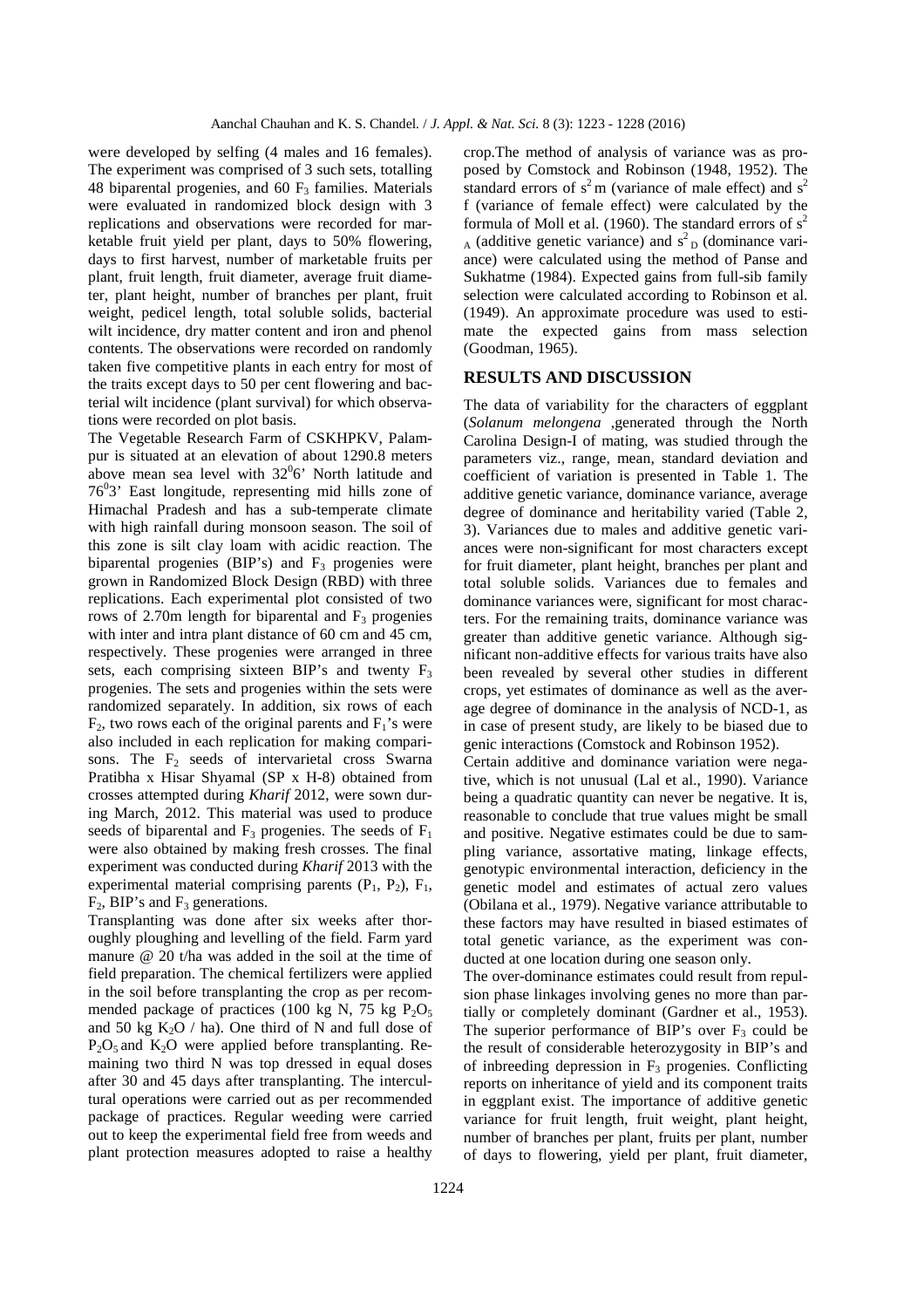were developed by selfing (4 males and 16 females). The experiment was comprised of 3 such sets, totalling 48 biparental progenies, and 60  $F_3$  families. Materials were evaluated in randomized block design with 3 replications and observations were recorded for marketable fruit yield per plant, days to 50% flowering, days to first harvest, number of marketable fruits per plant, fruit length, fruit diameter, average fruit diameter, plant height, number of branches per plant, fruit weight, pedicel length, total soluble solids, bacterial wilt incidence, dry matter content and iron and phenol contents. The observations were recorded on randomly taken five competitive plants in each entry for most of the traits except days to 50 per cent flowering and bacterial wilt incidence (plant survival) for which observations were recorded on plot basis.

The Vegetable Research Farm of CSKHPKV, Palampur is situated at an elevation of about 1290.8 meters above mean sea level with  $32^{0}6'$  North latitude and  $76<sup>0</sup>3$ ' East longitude, representing mid hills zone of Himachal Pradesh and has a sub-temperate climate with high rainfall during monsoon season. The soil of this zone is silt clay loam with acidic reaction. The biparental progenies (BIP's) and  $F_3$  progenies were grown in Randomized Block Design (RBD) with three replications. Each experimental plot consisted of two rows of 2.70m length for biparental and  $F_3$  progenies with inter and intra plant distance of 60 cm and 45 cm, respectively. These progenies were arranged in three sets, each comprising sixteen BIP's and twenty  $F_3$ progenies. The sets and progenies within the sets were randomized separately. In addition, six rows of each  $F<sub>2</sub>$ , two rows each of the original parents and  $F<sub>1</sub>$ 's were also included in each replication for making comparisons. The  $F_2$  seeds of intervarietal cross Swarna Pratibha x Hisar Shyamal (SP x H-8) obtained from crosses attempted during *Kharif* 2012, were sown during March, 2012. This material was used to produce seeds of biparental and  $F_3$  progenies. The seeds of  $F_1$ were also obtained by making fresh crosses. The final experiment was conducted during *Kharif* 2013 with the experimental material comprising parents  $(P_1, P_2)$ ,  $F_1$ ,  $F_2$ , BIP's and  $F_3$  generations.

Transplanting was done after six weeks after thoroughly ploughing and levelling of the field. Farm yard manure @ 20 t/ha was added in the soil at the time of field preparation. The chemical fertilizers were applied in the soil before transplanting the crop as per recommended package of practices (100 kg N, 75 kg  $P_2O_5$ ) and 50 kg  $K_2O$  / ha). One third of N and full dose of  $P_2O_5$  and  $K_2O$  were applied before transplanting. Remaining two third N was top dressed in equal doses after 30 and 45 days after transplanting. The intercultural operations were carried out as per recommended package of practices. Regular weeding were carried out to keep the experimental field free from weeds and plant protection measures adopted to raise a healthy

crop.The method of analysis of variance was as proposed by Comstock and Robinson (1948, 1952). The standard errors of  $s^2$ m (variance of male effect) and  $s^2$ f (variance of female effect) were calculated by the formula of Moll et al. (1960). The standard errors of  $s^2$  $_{A}$  (additive genetic variance) and  $s^{2}$ <sub>D</sub> (dominance variance) were calculated using the method of Panse and Sukhatme (1984). Expected gains from full-sib family selection were calculated according to Robinson et al. (1949). An approximate procedure was used to estimate the expected gains from mass selection (Goodman, 1965).

## **RESULTS AND DISCUSSION**

The data of variability for the characters of eggplant (*Solanum melongena* ,generated through the North Carolina Design-I of mating, was studied through the parameters viz., range, mean, standard deviation and coefficient of variation is presented in Table 1. The additive genetic variance, dominance variance, average degree of dominance and heritability varied (Table 2, 3). Variances due to males and additive genetic variances were non-significant for most characters except for fruit diameter, plant height, branches per plant and total soluble solids. Variances due to females and dominance variances were, significant for most characters. For the remaining traits, dominance variance was greater than additive genetic variance. Although significant non-additive effects for various traits have also been revealed by several other studies in different crops, yet estimates of dominance as well as the average degree of dominance in the analysis of NCD-1, as in case of present study, are likely to be biased due to genic interactions (Comstock and Robinson 1952).

Certain additive and dominance variation were negative, which is not unusual (Lal et al., 1990). Variance being a quadratic quantity can never be negative. It is, reasonable to conclude that true values might be small and positive. Negative estimates could be due to sampling variance, assortative mating, linkage effects, genotypic environmental interaction, deficiency in the genetic model and estimates of actual zero values (Obilana et al., 1979). Negative variance attributable to these factors may have resulted in biased estimates of total genetic variance, as the experiment was conducted at one location during one season only.

The over-dominance estimates could result from repulsion phase linkages involving genes no more than partially or completely dominant (Gardner et al., 1953). The superior performance of BIP's over  $F_3$  could be the result of considerable heterozygosity in BIP's and of inbreeding depression in  $F_3$  progenies. Conflicting reports on inheritance of yield and its component traits in eggplant exist. The importance of additive genetic variance for fruit length, fruit weight, plant height, number of branches per plant, fruits per plant, number of days to flowering, yield per plant, fruit diameter,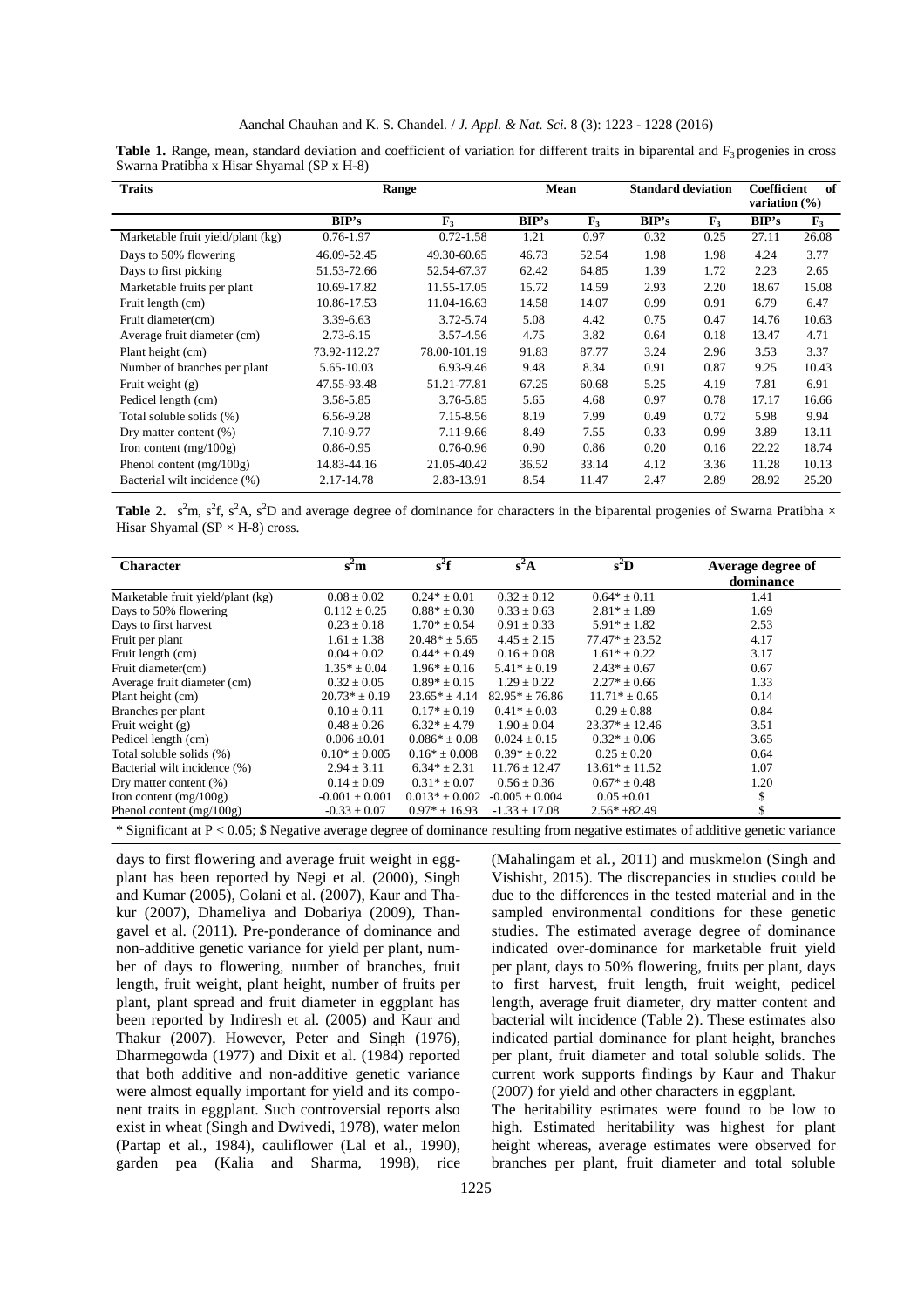| <b>Traits</b>                     |              | Range            | Mean  |             | <b>Standard deviation</b> |                | <b>Coefficient</b><br>variation $(\% )$ | of             |
|-----------------------------------|--------------|------------------|-------|-------------|---------------------------|----------------|-----------------------------------------|----------------|
|                                   | BIP's        | $\mathbf{F}_{3}$ | BIP's | ${\bf F}_3$ | BIP's                     | $\mathbf{F}_3$ | BIP's                                   | $\mathbf{F}_3$ |
| Marketable fruit yield/plant (kg) | 0.76-1.97    | $0.72 - 1.58$    | 1.21  | 0.97        | 0.32                      | 0.25           | 27.11                                   | 26.08          |
| Days to 50% flowering             | 46.09-52.45  | 49.30-60.65      | 46.73 | 52.54       | 1.98                      | 1.98           | 4.24                                    | 3.77           |
| Days to first picking             | 51.53-72.66  | 52.54-67.37      | 62.42 | 64.85       | 1.39                      | 1.72           | 2.23                                    | 2.65           |
| Marketable fruits per plant       | 10.69-17.82  | 11.55-17.05      | 15.72 | 14.59       | 2.93                      | 2.20           | 18.67                                   | 15.08          |
| Fruit length (cm)                 | 10.86-17.53  | 11.04-16.63      | 14.58 | 14.07       | 0.99                      | 0.91           | 6.79                                    | 6.47           |
| Fruit diameter(cm)                | 3.39-6.63    | 3.72-5.74        | 5.08  | 4.42        | 0.75                      | 0.47           | 14.76                                   | 10.63          |
| Average fruit diameter (cm)       | 2.73-6.15    | 3.57-4.56        | 4.75  | 3.82        | 0.64                      | 0.18           | 13.47                                   | 4.71           |
| Plant height (cm)                 | 73.92-112.27 | 78.00-101.19     | 91.83 | 87.77       | 3.24                      | 2.96           | 3.53                                    | 3.37           |
| Number of branches per plant      | 5.65-10.03   | 6.93-9.46        | 9.48  | 8.34        | 0.91                      | 0.87           | 9.25                                    | 10.43          |
| Fruit weight $(g)$                | 47.55-93.48  | 51.21-77.81      | 67.25 | 60.68       | 5.25                      | 4.19           | 7.81                                    | 6.91           |
| Pedicel length (cm)               | 3.58-5.85    | 3.76-5.85        | 5.65  | 4.68        | 0.97                      | 0.78           | 17.17                                   | 16.66          |
| Total soluble solids (%)          | 6.56-9.28    | 7.15-8.56        | 8.19  | 7.99        | 0.49                      | 0.72           | 5.98                                    | 9.94           |
| Dry matter content $(\%)$         | 7.10-9.77    | 7.11-9.66        | 8.49  | 7.55        | 0.33                      | 0.99           | 3.89                                    | 13.11          |
| Iron content $(mg/100g)$          | 0.86-0.95    | 0.76-0.96        | 0.90  | 0.86        | 0.20                      | 0.16           | 22.22                                   | 18.74          |
| Phenol content $(mg/100g)$        | 14.83-44.16  | 21.05-40.42      | 36.52 | 33.14       | 4.12                      | 3.36           | 11.28                                   | 10.13          |
| Bacterial wilt incidence (%)      | 2.17-14.78   | 2.83-13.91       | 8.54  | 11.47       | 2.47                      | 2.89           | 28.92                                   | 25.20          |

**Table 1.** Range, mean, standard deviation and coefficient of variation for different traits in biparental and  $F_3$  progenies in cross Swarna Pratibha x Hisar Shyamal (SP x H-8)

**Table 2.**  $s^2m$ ,  $s^2f$ ,  $s^2A$ ,  $s^2D$  and average degree of dominance for characters in the biparental progenies of Swarna Pratibha  $\times$ Hisar Shyamal ( $SP \times H-8$ ) cross.

| <b>Character</b>                  | s <sup>2</sup> m   | $s^2f$             | $s^2A$             | $s^2D$             | Average degree of |
|-----------------------------------|--------------------|--------------------|--------------------|--------------------|-------------------|
|                                   |                    |                    |                    |                    | dominance         |
| Marketable fruit yield/plant (kg) | $0.08 \pm 0.02$    | $0.24* \pm 0.01$   | $0.32 \pm 0.12$    | $0.64* \pm 0.11$   | 1.41              |
| Days to 50% flowering             | $0.112 \pm 0.25$   | $0.88* \pm 0.30$   | $0.33 \pm 0.63$    | $2.81* + 1.89$     | 1.69              |
| Days to first harvest             | $0.23 + 0.18$      | $1.70* + 0.54$     | $0.91 + 0.33$      | $5.91* + 1.82$     | 2.53              |
| Fruit per plant                   | $1.61 \pm 1.38$    | $20.48* \pm 5.65$  | $4.45 \pm 2.15$    | $77.47* \pm 23.52$ | 4.17              |
| Fruit length (cm)                 | $0.04 \pm 0.02$    | $0.44* + 0.49$     | $0.16 \pm 0.08$    | $1.61* + 0.22$     | 3.17              |
| Fruit diameter(cm)                | $1.35* \pm 0.04$   | $1.96* + 0.16$     | $5.41* \pm 0.19$   | $2.43* \pm 0.67$   | 0.67              |
| Average fruit diameter (cm)       | $0.32 \pm 0.05$    | $0.89* \pm 0.15$   | $1.29 \pm 0.22$    | $2.27* \pm 0.66$   | 1.33              |
| Plant height (cm)                 | $20.73* \pm 0.19$  | $23.65* + 4.14$    | $82.95* + 76.86$   | $11.71* + 0.65$    | 0.14              |
| Branches per plant                | $0.10 \pm 0.11$    | $0.17* \pm 0.19$   | $0.41* \pm 0.03$   | $0.29 \pm 0.88$    | 0.84              |
| Fruit weight $(g)$                | $0.48 \pm 0.26$    | $6.32* + 4.79$     | $1.90 \pm 0.04$    | $23.37* + 12.46$   | 3.51              |
| Pedicel length (cm)               | $0.006 \pm 0.01$   | $0.086* \pm 0.08$  | $0.024 \pm 0.15$   | $0.32* \pm 0.06$   | 3.65              |
| Total soluble solids (%)          | $0.10^* \pm 0.005$ | $0.16* \pm 0.008$  | $0.39* + 0.22$     | $0.25 \pm 0.20$    | 0.64              |
| Bacterial wilt incidence (%)      | $2.94 \pm 3.11$    | $6.34* \pm 2.31$   | $11.76 \pm 12.47$  | $13.61* \pm 11.52$ | 1.07              |
| Dry matter content (%)            | $0.14 \pm 0.09$    | $0.31* + 0.07$     | $0.56 \pm 0.36$    | $0.67* \pm 0.48$   | 1.20              |
| Iron content $(mg/100g)$          | $-0.001 \pm 0.001$ | $0.013* \pm 0.002$ | $-0.005 \pm 0.004$ | $0.05 \pm 0.01$    |                   |
| Phenol content $(mg/100g)$        | $-0.33 \pm 0.07$   | $0.97* \pm 16.93$  | $-1.33 \pm 17.08$  | $2.56* + 82.49$    |                   |
|                                   |                    |                    |                    |                    |                   |

\* Significant at P < 0.05; \$ Negative average degree of dominance resulting from negative estimates of additive genetic variance

days to first flowering and average fruit weight in eggplant has been reported by Negi et al. (2000), Singh and Kumar (2005), Golani et al. (2007), Kaur and Thakur (2007), Dhameliya and Dobariya (2009), Thangavel et al. (2011). Pre-ponderance of dominance and non-additive genetic variance for yield per plant, number of days to flowering, number of branches, fruit length, fruit weight, plant height, number of fruits per plant, plant spread and fruit diameter in eggplant has been reported by Indiresh et al. (2005) and Kaur and Thakur (2007). However, Peter and Singh (1976), Dharmegowda (1977) and Dixit et al. (1984) reported that both additive and non-additive genetic variance were almost equally important for yield and its component traits in eggplant. Such controversial reports also exist in wheat (Singh and Dwivedi, 1978), water melon (Partap et al., 1984), cauliflower (Lal et al., 1990), garden pea (Kalia and Sharma, 1998), rice

(Mahalingam et al*.,* 2011) and muskmelon (Singh and Vishisht, 2015). The discrepancies in studies could be due to the differences in the tested material and in the sampled environmental conditions for these genetic studies. The estimated average degree of dominance indicated over-dominance for marketable fruit yield per plant, days to 50% flowering, fruits per plant, days to first harvest, fruit length, fruit weight, pedicel length, average fruit diameter, dry matter content and bacterial wilt incidence (Table 2). These estimates also indicated partial dominance for plant height, branches per plant, fruit diameter and total soluble solids. The current work supports findings by Kaur and Thakur (2007) for yield and other characters in eggplant.

The heritability estimates were found to be low to high. Estimated heritability was highest for plant height whereas, average estimates were observed for branches per plant, fruit diameter and total soluble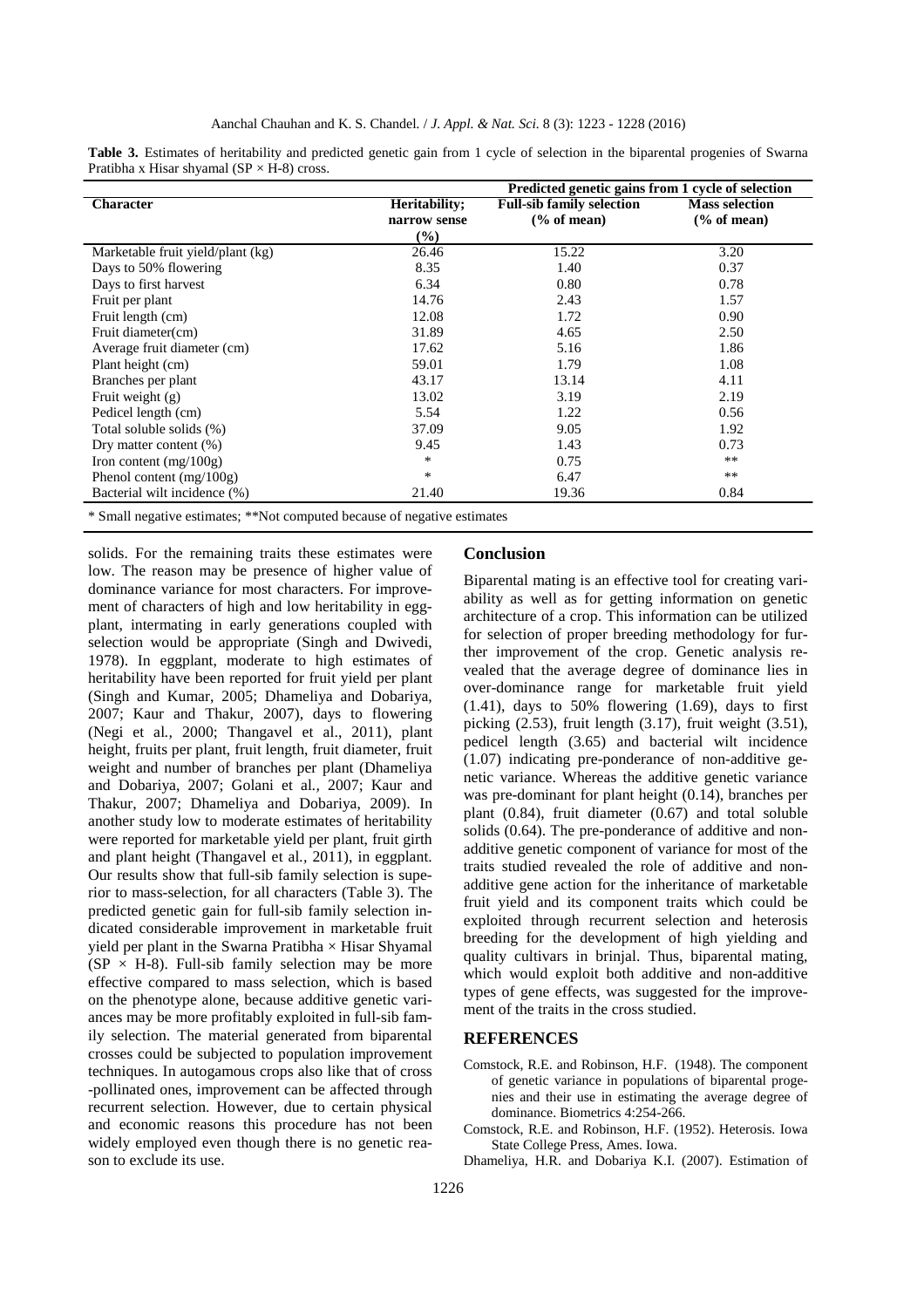|                                   |                               | Predicted genetic gains from 1 cycle of selection          |                                                 |
|-----------------------------------|-------------------------------|------------------------------------------------------------|-------------------------------------------------|
| <b>Character</b>                  | Heritability;<br>narrow sense | <b>Full-sib family selection</b><br>$\frac{6}{6}$ of mean) | <b>Mass selection</b><br>$\frac{6}{6}$ of mean) |
|                                   | $(\%)$                        |                                                            |                                                 |
| Marketable fruit yield/plant (kg) | 26.46                         | 15.22                                                      | 3.20                                            |
| Days to 50% flowering             | 8.35                          | 1.40                                                       | 0.37                                            |
| Days to first harvest             | 6.34                          | 0.80                                                       | 0.78                                            |
| Fruit per plant                   | 14.76                         | 2.43                                                       | 1.57                                            |
| Fruit length (cm)                 | 12.08                         | 1.72                                                       | 0.90                                            |
| Fruit diameter(cm)                | 31.89                         | 4.65                                                       | 2.50                                            |
| Average fruit diameter (cm)       | 17.62                         | 5.16                                                       | 1.86                                            |
| Plant height (cm)                 | 59.01                         | 1.79                                                       | 1.08                                            |
| Branches per plant                | 43.17                         | 13.14                                                      | 4.11                                            |
| Fruit weight $(g)$                | 13.02                         | 3.19                                                       | 2.19                                            |
| Pedicel length (cm)               | 5.54                          | 1.22                                                       | 0.56                                            |
| Total soluble solids (%)          | 37.09                         | 9.05                                                       | 1.92                                            |
| Dry matter content $(\%)$         | 9.45                          | 1.43                                                       | 0.73                                            |
| Iron content $(mg/100g)$          | $\ast$                        | 0.75                                                       | $***$                                           |
| Phenol content $(mg/100g)$        | $\ast$                        | 6.47                                                       | $***$                                           |
| Bacterial wilt incidence (%)      | 21.40                         | 19.36                                                      | 0.84                                            |
|                                   |                               |                                                            |                                                 |

**Table 3.** Estimates of heritability and predicted genetic gain from 1 cycle of selection in the biparental progenies of Swarna Pratibha x Hisar shyamal  $(SP \times H-8)$  cross.

\* Small negative estimates; \*\*Not computed because of negative estimates

solids. For the remaining traits these estimates were low. The reason may be presence of higher value of dominance variance for most characters. For improvement of characters of high and low heritability in eggplant, intermating in early generations coupled with selection would be appropriate (Singh and Dwivedi, 1978). In eggplant, moderate to high estimates of heritability have been reported for fruit yield per plant (Singh and Kumar, 2005; Dhameliya and Dobariya, 2007; Kaur and Thakur, 2007), days to flowering (Negi et al*.,* 2000; Thangavel et al., 2011), plant height, fruits per plant, fruit length, fruit diameter, fruit weight and number of branches per plant (Dhameliya and Dobariya, 2007; Golani et al*.,* 2007; Kaur and Thakur, 2007; Dhameliya and Dobariya, 2009). In another study low to moderate estimates of heritability were reported for marketable yield per plant, fruit girth and plant height (Thangavel et al*.,* 2011), in eggplant. Our results show that full-sib family selection is superior to mass-selection, for all characters (Table 3). The predicted genetic gain for full-sib family selection indicated considerable improvement in marketable fruit yield per plant in the Swarna Pratibha  $\times$  Hisar Shyamal  $(SP \times H-8)$ . Full-sib family selection may be more effective compared to mass selection, which is based on the phenotype alone, because additive genetic variances may be more profitably exploited in full-sib family selection. The material generated from biparental crosses could be subjected to population improvement techniques. In autogamous crops also like that of cross -pollinated ones, improvement can be affected through recurrent selection. However, due to certain physical and economic reasons this procedure has not been widely employed even though there is no genetic reason to exclude its use.

## **Conclusion**

Biparental mating is an effective tool for creating variability as well as for getting information on genetic architecture of a crop. This information can be utilized for selection of proper breeding methodology for further improvement of the crop. Genetic analysis revealed that the average degree of dominance lies in over-dominance range for marketable fruit yield  $(1.41)$ , days to 50% flowering  $(1.69)$ , days to first picking (2.53), fruit length (3.17), fruit weight (3.51), pedicel length (3.65) and bacterial wilt incidence  $(1.07)$  indicating pre-ponderance of non-additive genetic variance. Whereas the additive genetic variance was pre-dominant for plant height (0.14), branches per plant (0.84), fruit diameter (0.67) and total soluble solids (0.64). The pre-ponderance of additive and nonadditive genetic component of variance for most of the traits studied revealed the role of additive and nonadditive gene action for the inheritance of marketable fruit yield and its component traits which could be exploited through recurrent selection and heterosis breeding for the development of high yielding and quality cultivars in brinjal. Thus, biparental mating, which would exploit both additive and non-additive types of gene effects, was suggested for the improvement of the traits in the cross studied.

### **REFERENCES**

- Comstock, R.E. and Robinson, H.F. (1948). The component of genetic variance in populations of biparental progenies and their use in estimating the average degree of dominance. Biometrics 4:254-266.
- Comstock, R.E. and Robinson, H.F. (1952). Heterosis. Iowa State College Press, Ames. Iowa.
- Dhameliya, H.R. and Dobariya K.I. (2007). Estimation of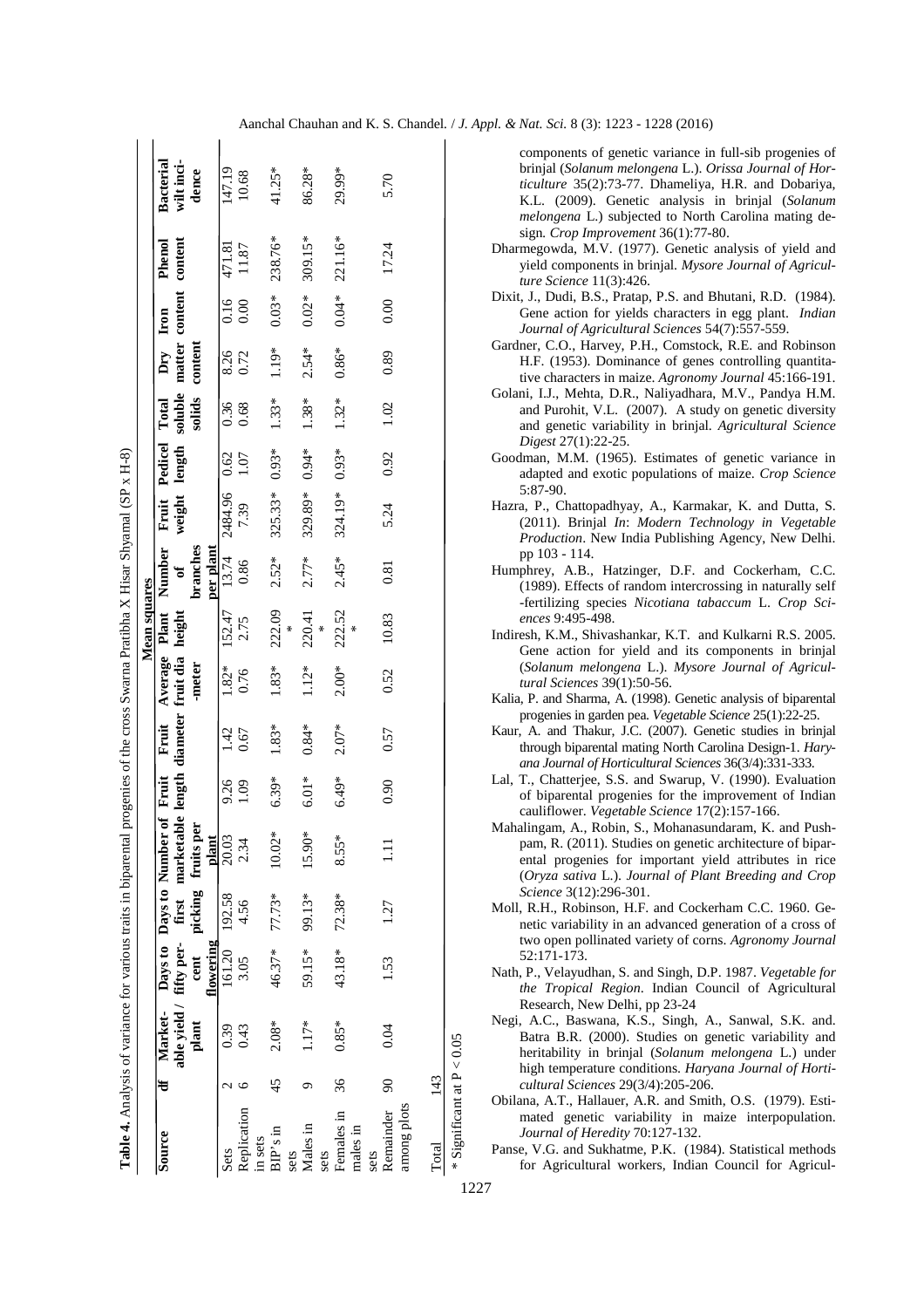| Í                        |
|--------------------------|
|                          |
| I                        |
|                          |
|                          |
|                          |
|                          |
|                          |
|                          |
| i                        |
|                          |
|                          |
|                          |
|                          |
| $\ddot{ }$               |
|                          |
| <br> <br>                |
|                          |
|                          |
| l                        |
|                          |
|                          |
| $\overline{\phantom{a}}$ |
|                          |
|                          |
|                          |
|                          |
|                          |
|                          |
|                          |
|                          |
|                          |
|                          |
|                          |
| ì<br>Ï                   |
|                          |
|                          |
|                          |
|                          |
|                          |
|                          |
|                          |
|                          |
|                          |
|                          |
|                          |
|                          |
|                          |
|                          |
|                          |
|                          |
|                          |
|                          |
|                          |
|                          |
| j                        |
|                          |
|                          |
|                          |
|                          |
|                          |
|                          |
|                          |
|                          |
|                          |
|                          |
| ā                        |
| ľ                        |

|               |    |         |               |                 |                                                                           |                 |         |         | <b>Mean squares</b> |               |              |                     |         |                                |         |         |            |
|---------------|----|---------|---------------|-----------------|---------------------------------------------------------------------------|-----------------|---------|---------|---------------------|---------------|--------------|---------------------|---------|--------------------------------|---------|---------|------------|
| Source        |    |         |               |                 | df Market- Days to Days to Number of Fruit Fruit Average Plant            |                 |         |         |                     | <b>Number</b> |              | Fruit Pedicel Total |         | Dry Iron                       |         | Phenol  | Bacterial  |
|               |    |         |               |                 | able yield / fifty per- first marketable length diameter fruit dia height |                 |         |         |                     | $\sigma$      |              | weight length       |         | soluble matter content content |         |         | wilt inci- |
|               |    | plant   |               |                 | cent picking fruits per                                                   |                 |         | -meter  |                     | branches      |              |                     | solids  | content                        |         |         | dence      |
|               |    |         | flowering     |                 | plant                                                                     |                 |         |         |                     | per plant     |              |                     |         |                                |         |         |            |
| Sets          |    | 0.39    | 161.20 192.58 |                 | 20.03                                                                     | 9.26            | 1.42    | $1.82*$ |                     | 152.47 13.74  | 2484.96 0.62 |                     | 0.36    | 8.26                           | 0.16    | 471.81  | 147.19     |
| Replication   |    | 0.43    | 3.05          | 4.56            | 2.34                                                                      | $\overline{60}$ | 0.67    | 0.76    | 2.75                | 0.86          | 7.39         | 1.07                | 0.68    | 0.72                           | 0.00    | 11.87   | 10.68      |
| in sets       |    |         |               |                 |                                                                           |                 |         |         |                     |               |              |                     |         |                                |         |         |            |
| $BIP's$ in    | 45 | $2.08*$ | 46.37* 77.73* |                 | $10.02*$                                                                  | $6.39*$         | 1.83*   | 1.83*   | 222.09              | $2.52*$       | 325.33*      | $0.93*$             | $1.33*$ | 1.19*                          | $0.03*$ | 238.76* | 41.25*     |
| sets          |    |         |               |                 |                                                                           |                 |         |         | ×                   |               |              |                     |         |                                |         |         |            |
| Males in      |    | $1.17*$ | 59.15*        | 99.13*          | 15.90*                                                                    | $6.01*$         | $0.84*$ | $1.12*$ | 220.41<br>*         | $2.77*$       | 329.89*      | $0.94*$             | 1.38*   | $2.54*$                        | $0.02*$ | 309.15* | 86.28*     |
| sets          |    |         |               |                 |                                                                           |                 |         |         |                     |               |              |                     |         |                                |         |         |            |
| Females in 36 |    | $0.85*$ |               | $43.18* 72.38*$ | 8.55*                                                                     | $6.49*$         | $2.07*$ | $2.00*$ | 222.52              | $2.45*$       | 324.19*      | $0.93*$             | $1.32*$ | $0.86*$                        | $0.04*$ | 221.16* | 29.99*     |
| males in      |    |         |               |                 |                                                                           |                 |         |         |                     |               |              |                     |         |                                |         |         |            |
| sets          |    |         |               |                 |                                                                           |                 |         |         |                     |               |              |                     |         |                                |         |         |            |
| Remainder 90  |    | 0.04    | 1.53          | 1.27            | Ξ                                                                         | 0.90            | 0.57    | 0.52    | 10.83               | 0.81          | 5.24         | 0.92                | 1.02    | 0.89                           | 0.00    | 17.24   | 5.70       |
| among plots   |    |         |               |                 |                                                                           |                 |         |         |                     |               |              |                     |         |                                |         |         |            |
|               |    |         |               |                 |                                                                           |                 |         |         |                     |               |              |                     |         |                                |         |         |            |
| Total 143     |    |         |               |                 |                                                                           |                 |         |         |                     |               |              |                     |         |                                |         |         |            |
|               |    |         |               |                 |                                                                           |                 |         |         |                     |               |              |                     |         |                                |         |         |            |

components of genetic variance in full-sib progenies of brinjal (*Solanum melongena* L.). *Orissa Journal of Horticulture* 35(2):73-77. Dhameliya, H.R. and Dobariya, K.L. (2009). Genetic analysis in brinjal (*Solanum melongena* L.) subjected to North Carolina mating design*. Crop Improvement* 36(1):77-80.

Aanchal Chauhan and K. S. Chandel*.* / *J. Appl. & Nat. Sci.* 8 (3): 1223 - 1228 (2016)

- Dharmegowda, M.V. (1977). Genetic analysis of yield and yield components in brinjal. *Mysore Journal of Agriculture Science* 11(3):426.
- Dixit, J., Dudi, B.S., Pratap, P.S. and Bhutani, R.D. (1984). Gene action for yields characters in egg plant. *Indian Journal of Agricultural Sciences* 54(7):557-559.
- Gardner, C.O., Harvey, P.H., Comstock, R.E. and Robinson H.F. (1953). Dominance of genes controlling quantitative characters in maize. *Agronomy Journal* 45:166-191.
- Golani, I.J., Mehta, D.R., Naliyadhara, M.V., Pandya H.M. and Purohit, V.L. (2007). A study on genetic diversity and genetic variability in brinjal. *Agricultural Science Digest* 27(1):22-25.
- Goodman, M.M. (1965). Estimates of genetic variance in adapted and exotic populations of maize. *Crop Science* 5:87-90.
- Hazra, P., Chattopadhyay, A., Karmakar, K. and Dutta, S. (2011). Brinjal *In*: *Modern Technology in Vegetable Production*. New India Publishing Agency, New Delhi. pp 103 - 114.
- Humphrey, A.B., Hatzinger, D.F. and Cockerham, C.C. (1989). Effects of random intercrossing in naturally self -fertilizing species *Nicotiana tabaccum* L. *Crop Sciences* 9:495-498.
- Indiresh, K.M., Shivashankar, K.T. and Kulkarni R.S. 2005. Gene action for yield and its components in brinjal (*Solanum melongena* L.). *Mysore Journal of Agricultural Sciences* 39(1):50-56.
- Kalia, P. and Sharma, A. (1998). Genetic analysis of biparental progenies in garden pea. *Vegetable Science* 25(1):22-25.
- Kaur, A. and Thakur, J.C. (2007). Genetic studies in brinjal through biparental mating North Carolina Design-1. *Haryana Journal of Horticultural Sciences* 36(3/4):331-333.
- Lal, T., Chatterjee, S.S. and Swarup, V. (1990). Evaluation of biparental progenies for the improvement of Indian cauliflower. *Vegetable Science* 17(2):157-166.
- Mahalingam, A., Robin, S., Mohanasundaram, K. and Pushpam, R. (2011). Studies on genetic architecture of biparental progenies for important yield attributes in rice (*Oryza sativa* L.). *Journal of Plant Breeding and Crop Science* 3(12):296-301.
- Moll, R.H., Robinson, H.F. and Cockerham C.C. 1960. Genetic variability in an advanced generation of a cross of two open pollinated variety of corns. *Agronomy Journal* 52:171-173.
- Nath, P., Velayudhan, S. and Singh, D.P. 1987. *Vegetable for the Tropical Region*. Indian Council of Agricultural Research, New Delhi, pp 23-24
- Negi, A.C., Baswana, K.S., Singh, A., Sanwal, S.K. and. Batra B.R. (2000). Studies on genetic variability and heritability in brinjal (*Solanum melongena* L.) under high temperature conditions. *Haryana Journal of Horticultural Sciences* 29(3/4):205-206.
- Obilana, A.T., Hallauer, A.R. and Smith, O.S. (1979). Estimated genetic variability in maize interpopulation. *Journal of Heredity* 70:127-132.

Panse, V.G. and Sukhatme, P.K. (1984). Statistical methods for Agricultural workers, Indian Council for Agricul-

1227

\* Significant at P < 0.05

\* Significant at  $P < 0.05$